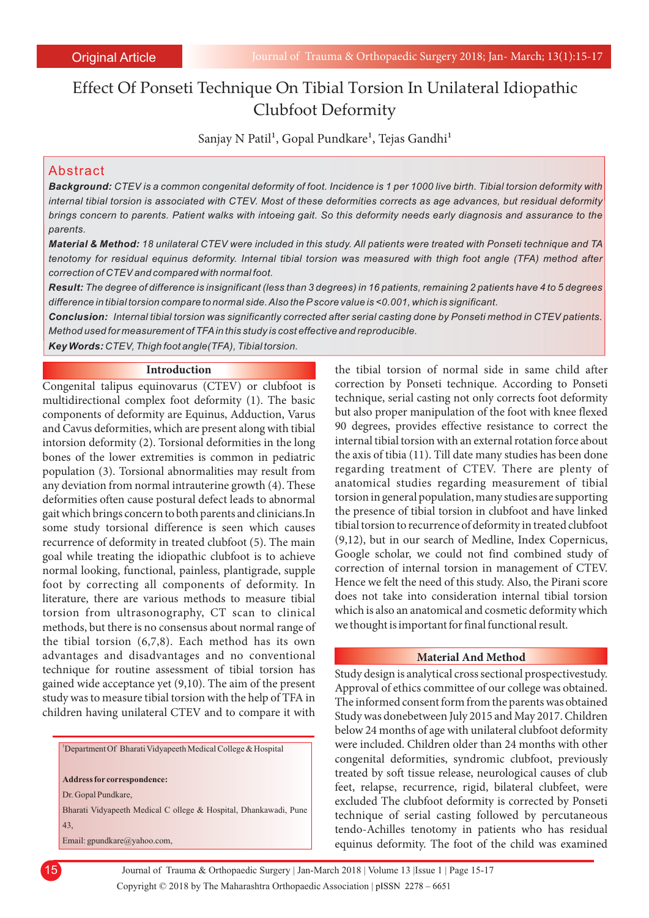# Effect Of Ponseti Technique On Tibial Torsion In Unilateral Idiopathic Clubfoot Deformity

Sanjay N Patil<sup>1</sup>, Gopal Pundkare<sup>1</sup>, Tejas Gandhi<sup>1</sup>

# Abstract

*Background: CTEV is a common congenital deformity of foot. Incidence is 1 per 1000 live birth. Tibial torsion deformity with internal tibial torsion is associated with CTEV. Most of these deformities corrects as age advances, but residual deformity brings concern to parents. Patient walks with intoeing gait. So this deformity needs early diagnosis and assurance to the parents.*

*Material & Method: 18 unilateral CTEV were included in this study. All patients were treated with Ponseti technique and TA tenotomy for residual equinus deformity. Internal tibial torsion was measured with thigh foot angle (TFA) method after correction of CTEV and compared with normal foot.*

*Result: The degree of difference is insignificant (less than 3 degrees) in 16 patients, remaining 2 patients have 4 to 5 degrees difference in tibial torsion compare to normal side. Also the Pscore value is <0.001, which is significant.*

*Conclusion: Internal tibial torsion was significantly corrected after serial casting done by Ponseti method in CTEV patients. Method used for measurement of TFAin this study is cost effective and reproducible.*

*Key Words: CTEV, Thigh foot angle(TFA), Tibial torsion.*

### **Introduction**

Congenital talipus equinovarus (CTEV) or clubfoot is multidirectional complex foot deformity (1). The basic components of deformity are Equinus, Adduction, Varus and Cavus deformities, which are present along with tibial intorsion deformity (2). Torsional deformities in the long bones of the lower extremities is common in pediatric population (3). Torsional abnormalities may result from any deviation from normal intrauterine growth (4). These deformities often cause postural defect leads to abnormal gait which brings concern to both parents and clinicians.In some study torsional difference is seen which causes recurrence of deformity in treated clubfoot (5). The main goal while treating the idiopathic clubfoot is to achieve normal looking, functional, painless, plantigrade, supple foot by correcting all components of deformity. In literature, there are various methods to measure tibial torsion from ultrasonography, CT scan to clinical methods, but there is no consensus about normal range of the tibial torsion (6,7,8). Each method has its own advantages and disadvantages and no conventional technique for routine assessment of tibial torsion has gained wide acceptance yet (9,10). The aim of the present study was to measure tibial torsion with the help of TFA in children having unilateral CTEV and to compare it with

<sup>1</sup>Department Of Bharati Vidyapeeth Medical College & Hospital

**Address for correspondence:** 

Dr. Gopal Pundkare,

Bharati Vidyapeeth Medical C ollege & Hospital, Dhankawadi, Pune 43,

Email: gpundkare@yahoo.com,

the tibial torsion of normal side in same child after correction by Ponseti technique. According to Ponseti technique, serial casting not only corrects foot deformity but also proper manipulation of the foot with knee flexed 90 degrees, provides effective resistance to correct the internal tibial torsion with an external rotation force about the axis of tibia (11). Till date many studies has been done regarding treatment of CTEV. There are plenty of anatomical studies regarding measurement of tibial torsion in general population, many studies are supporting the presence of tibial torsion in clubfoot and have linked tibial torsion to recurrence of deformity in treated clubfoot (9,12), but in our search of Medline, Index Copernicus, Google scholar, we could not find combined study of correction of internal torsion in management of CTEV. Hence we felt the need of this study. Also, the Pirani score does not take into consideration internal tibial torsion which is also an anatomical and cosmetic deformity which we thought is important for final functional result.

### **Material And Method**

Study design is analytical cross sectional prospectivestudy. Approval of ethics committee of our college was obtained. The informed consent form from the parents was obtained Study was donebetween July 2015 and May 2017. Children below 24 months of age with unilateral clubfoot deformity were included. Children older than 24 months with other congenital deformities, syndromic clubfoot, previously treated by soft tissue release, neurological causes of club feet, relapse, recurrence, rigid, bilateral clubfeet, were excluded The clubfoot deformity is corrected by Ponseti technique of serial casting followed by percutaneous tendo-Achilles tenotomy in patients who has residual equinus deformity. The foot of the child was examined

15

Copyright © 2018 by The Maharashtra Orthopaedic Association | Journal of Trauma & Orthopaedic Surgery | Jan-March 2018 | Volume 13 |Issue 1 | Page 15-17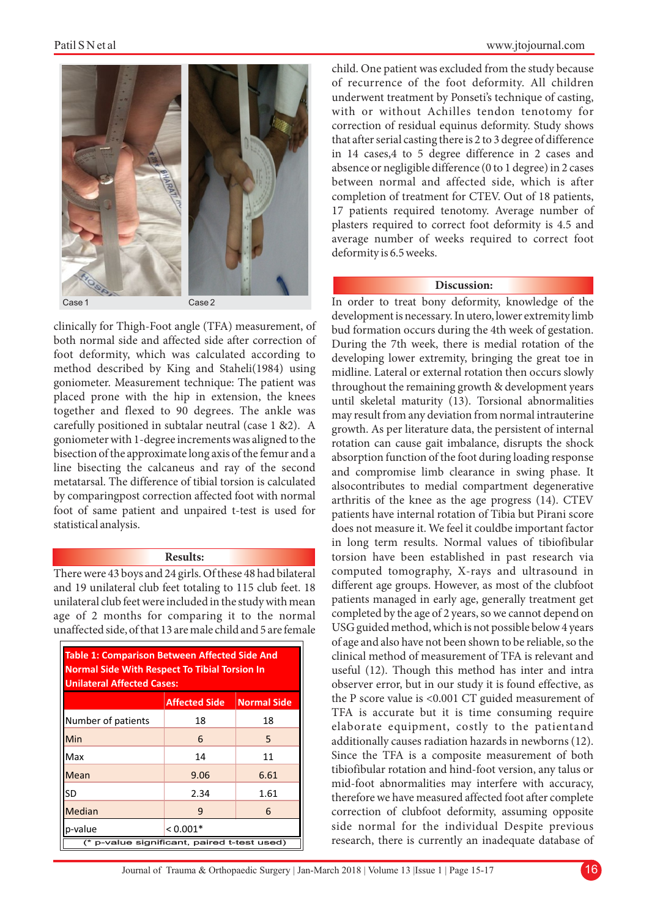

clinically for Thigh-Foot angle (TFA) measurement, of both normal side and affected side after correction of foot deformity, which was calculated according to method described by King and Staheli(1984) using goniometer. Measurement technique: The patient was placed prone with the hip in extension, the knees together and flexed to 90 degrees. The ankle was carefully positioned in subtalar neutral (case 1 &2). A goniometer with 1-degree increments was aligned to the bisection of the approximate long axis of the femur and a line bisecting the calcaneus and ray of the second metatarsal. The difference of tibial torsion is calculated by comparingpost correction affected foot with normal foot of same patient and unpaired t-test is used for statistical analysis.

## **Results:**

There were 43 boys and 24 girls. Of these 48 had bilateral and 19 unilateral club feet totaling to 115 club feet. 18 unilateral club feet were included in the study with mean age of 2 months for comparing it to the normal unaffected side, of that 13 are male child and 5 are female

| <b>Table 1: Comparison Between Affected Side And</b><br><b>Normal Side With Respect To Tibial Torsion In</b><br><b>Unilateral Affected Cases:</b> |                      |                    |
|---------------------------------------------------------------------------------------------------------------------------------------------------|----------------------|--------------------|
|                                                                                                                                                   | <b>Affected Side</b> | <b>Normal Side</b> |
| Number of patients                                                                                                                                | 18                   | 18                 |
| Min                                                                                                                                               | 6                    | 5                  |
| Max                                                                                                                                               | 14                   | 11                 |
| Mean                                                                                                                                              | 9.06                 | 6.61               |
| SD                                                                                                                                                | 2.34                 | 1.61               |
| <b>Median</b>                                                                                                                                     | 9                    | 6                  |
| p-value                                                                                                                                           | $< 0.001*$           |                    |
| (* p-value significant, paired t-test used)                                                                                                       |                      |                    |

child. One patient was excluded from the study because of recurrence of the foot deformity. All children underwent treatment by Ponseti's technique of casting, with or without Achilles tendon tenotomy for correction of residual equinus deformity. Study shows that after serial casting there is 2 to 3 degree of difference in 14 cases,4 to 5 degree difference in 2 cases and absence or negligible difference (0 to 1 degree) in 2 cases between normal and affected side, which is after completion of treatment for CTEV. Out of 18 patients, 17 patients required tenotomy. Average number of plasters required to correct foot deformity is 4.5 and average number of weeks required to correct foot deformity is 6.5 weeks.

# **Discussion:**

In order to treat bony deformity, knowledge of the development is necessary. In utero, lower extremity limb bud formation occurs during the 4th week of gestation. During the 7th week, there is medial rotation of the developing lower extremity, bringing the great toe in midline. Lateral or external rotation then occurs slowly throughout the remaining growth & development years until skeletal maturity (13). Torsional abnormalities may result from any deviation from normal intrauterine growth. As per literature data, the persistent of internal rotation can cause gait imbalance, disrupts the shock absorption function of the foot during loading response and compromise limb clearance in swing phase. It alsocontributes to medial compartment degenerative arthritis of the knee as the age progress (14). CTEV patients have internal rotation of Tibia but Pirani score does not measure it. We feel it couldbe important factor in long term results. Normal values of tibiofibular torsion have been established in past research via computed tomography, X-rays and ultrasound in different age groups. However, as most of the clubfoot patients managed in early age, generally treatment get completed by the age of 2 years, so we cannot depend on USG guided method, which is not possible below 4 years of age and also have not been shown to be reliable, so the clinical method of measurement of TFA is relevant and useful (12). Though this method has inter and intra observer error, but in our study it is found effective, as the P score value is <0.001 CT guided measurement of TFA is accurate but it is time consuming require elaborate equipment, costly to the patientand additionally causes radiation hazards in newborns (12). Since the TFA is a composite measurement of both tibiofibular rotation and hind-foot version, any talus or mid-foot abnormalities may interfere with accuracy, therefore we have measured affected foot after complete correction of clubfoot deformity, assuming opposite side normal for the individual Despite previous research, there is currently an inadequate database of